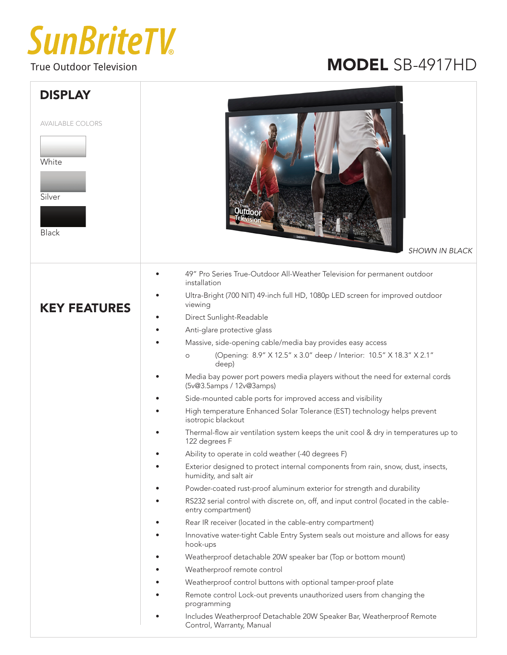## **SunBriteTV**

## True Outdoor Television **MODEL** SB-4917HD

| <b>DISPLAY</b><br><b>AVAILABLE COLORS</b><br>White<br>Silver<br><b>Black</b> | utdoor<br><b>SHOWN IN BLACK</b>                                                                                                                                                                                                                                                                                                                                                                                                                                                                                                                                                                                                                                                                                                                                                                                                                                                      |  |
|------------------------------------------------------------------------------|--------------------------------------------------------------------------------------------------------------------------------------------------------------------------------------------------------------------------------------------------------------------------------------------------------------------------------------------------------------------------------------------------------------------------------------------------------------------------------------------------------------------------------------------------------------------------------------------------------------------------------------------------------------------------------------------------------------------------------------------------------------------------------------------------------------------------------------------------------------------------------------|--|
| <b>KEY FEATURES</b>                                                          | 49" Pro Series True-Outdoor All-Weather Television for permanent outdoor<br>installation<br>Ultra-Bright (700 NIT) 49-inch full HD, 1080p LED screen for improved outdoor<br>viewing<br>Direct Sunlight-Readable<br>Anti-glare protective glass<br>Massive, side-opening cable/media bay provides easy access<br>(Opening: 8.9" X 12.5" x 3.0" deep / Interior: 10.5" X 18.3" X 2.1"<br>$\circ$<br>deep)<br>Media bay power port powers media players without the need for external cords<br>(5v@3.5amps / 12v@3amps)<br>Side-mounted cable ports for improved access and visibility                                                                                                                                                                                                                                                                                                 |  |
|                                                                              | High temperature Enhanced Solar Tolerance (EST) technology helps prevent<br>isotropic blackout<br>Thermal-flow air ventilation system keeps the unit cool & dry in temperatures up to<br>122 degrees F                                                                                                                                                                                                                                                                                                                                                                                                                                                                                                                                                                                                                                                                               |  |
|                                                                              | Ability to operate in cold weather (-40 degrees F)<br>Exterior designed to protect internal components from rain, snow, dust, insects,<br>humidity, and salt air<br>Powder-coated rust-proof aluminum exterior for strength and durability<br>RS232 serial control with discrete on, off, and input control (located in the cable-<br>entry compartment)<br>Rear IR receiver (located in the cable-entry compartment)<br>Innovative water-tight Cable Entry System seals out moisture and allows for easy<br>hook-ups<br>Weatherproof detachable 20W speaker bar (Top or bottom mount)<br>Weatherproof remote control<br>Weatherproof control buttons with optional tamper-proof plate<br>Remote control Lock-out prevents unauthorized users from changing the<br>programming<br>Includes Weatherproof Detachable 20W Speaker Bar, Weatherproof Remote<br>Control, Warranty, Manual |  |